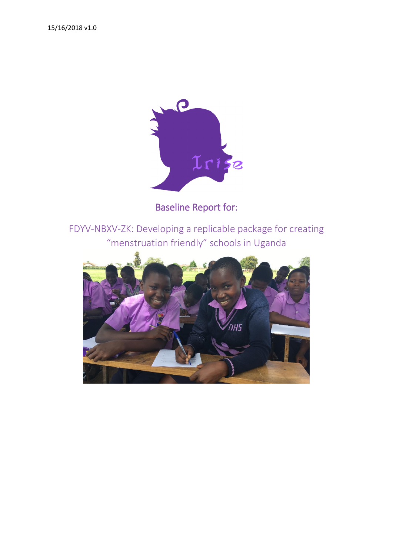

Baseline Report for:

FDYV-NBXV-ZK: Developing a replicable package for creating "menstruation friendly" schools in Uganda

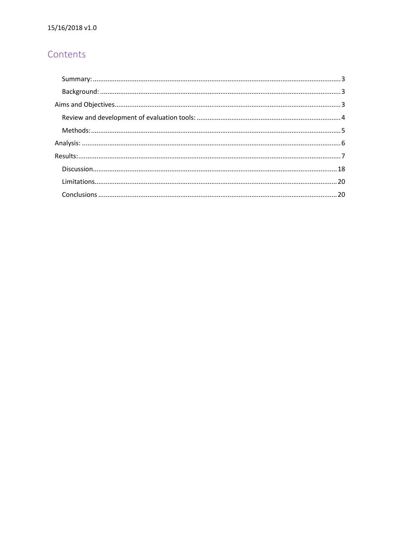# Contents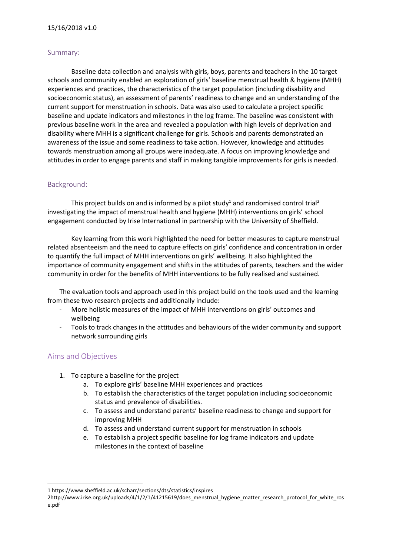#### <span id="page-2-0"></span>Summary:

Baseline data collection and analysis with girls, boys, parents and teachers in the 10 target schools and community enabled an exploration of girls' baseline menstrual health & hygiene (MHH) experiences and practices, the characteristics of the target population (including disability and socioeconomic status), an assessment of parents' readiness to change and an understanding of the current support for menstruation in schools. Data was also used to calculate a project specific baseline and update indicators and milestones in the log frame. The baseline was consistent with previous baseline work in the area and revealed a population with high levels of deprivation and disability where MHH is a significant challenge for girls. Schools and parents demonstrated an awareness of the issue and some readiness to take action. However, knowledge and attitudes towards menstruation among all groups were inadequate. A focus on improving knowledge and attitudes in order to engage parents and staff in making tangible improvements for girls is needed.

### <span id="page-2-1"></span>Background:

This project builds on and is informed by a pilot study<sup>1</sup> and randomised control trial<sup>2</sup> investigating the impact of menstrual health and hygiene (MHH) interventions on girls' school engagement conducted by Irise International in partnership with the University of Sheffield.

Key learning from this work highlighted the need for better measures to capture menstrual related absenteeism and the need to capture effects on girls' confidence and concentration in order to quantify the full impact of MHH interventions on girls' wellbeing. It also highlighted the importance of community engagement and shifts in the attitudes of parents, teachers and the wider community in order for the benefits of MHH interventions to be fully realised and sustained.

The evaluation tools and approach used in this project build on the tools used and the learning from these two research projects and additionally include:

- More holistic measures of the impact of MHH interventions on girls' outcomes and wellbeing
- Tools to track changes in the attitudes and behaviours of the wider community and support network surrounding girls

# <span id="page-2-2"></span>Aims and Objectives

**.** 

- 1. To capture a baseline for the project
	- a. To explore girls' baseline MHH experiences and practices
	- b. To establish the characteristics of the target population including socioeconomic status and prevalence of disabilities.
	- c. To assess and understand parents' baseline readiness to change and support for improving MHH
	- d. To assess and understand current support for menstruation in schools
	- e. To establish a project specific baseline for log frame indicators and update milestones in the context of baseline

<sup>1</sup> <https://www.sheffield.ac.uk/scharr/sections/dts/statistics/inspires>

<sup>2</sup>http://www.irise.org.uk/uploads/4/1/2/1/41215619/does\_menstrual\_hygiene\_matter\_research\_protocol\_for\_white\_ros e.pdf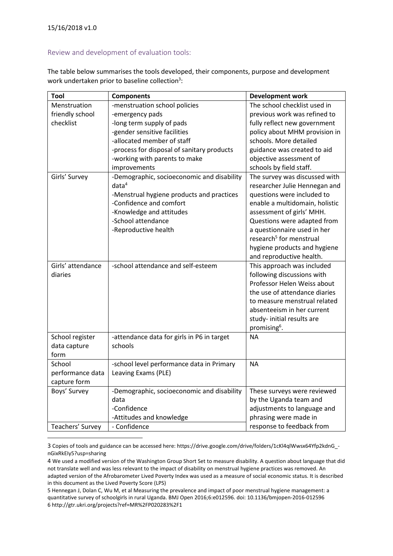$\overline{a}$ 

## <span id="page-3-0"></span>Review and development of evaluation tools:

The table below summarises the tools developed, their components, purpose and development work undertaken prior to baseline collection<sup>3</sup>:

| Tool              | <b>Components</b>                          | <b>Development work</b>             |
|-------------------|--------------------------------------------|-------------------------------------|
| Menstruation      | -menstruation school policies              | The school checklist used in        |
| friendly school   | -emergency pads                            | previous work was refined to        |
| checklist         | -long term supply of pads                  | fully reflect new government        |
|                   | -gender sensitive facilities               | policy about MHM provision in       |
|                   | -allocated member of staff                 | schools. More detailed              |
|                   | -process for disposal of sanitary products | guidance was created to aid         |
|                   | -working with parents to make              | objective assessment of             |
|                   | improvements                               | schools by field staff.             |
| Girls' Survey     | -Demographic, socioeconomic and disability | The survey was discussed with       |
|                   | data <sup>4</sup>                          | researcher Julie Hennegan and       |
|                   | -Menstrual hygiene products and practices  | questions were included to          |
|                   | -Confidence and comfort                    | enable a multidomain, holistic      |
|                   | -Knowledge and attitudes                   | assessment of girls' MHH.           |
|                   | -School attendance                         | Questions were adapted from         |
|                   | -Reproductive health                       | a questionnaire used in her         |
|                   |                                            | research <sup>5</sup> for menstrual |
|                   |                                            | hygiene products and hygiene        |
|                   |                                            | and reproductive health.            |
| Girls' attendance | -school attendance and self-esteem         | This approach was included          |
| diaries           |                                            | following discussions with          |
|                   |                                            | Professor Helen Weiss about         |
|                   |                                            | the use of attendance diaries       |
|                   |                                            | to measure menstrual related        |
|                   |                                            | absenteeism in her current          |
|                   |                                            | study-initial results are           |
|                   |                                            | promising <sup>6</sup> .            |
| School register   | -attendance data for girls in P6 in target | <b>NA</b>                           |
| data capture      | schools                                    |                                     |
| form              |                                            |                                     |
| School            | -school level performance data in Primary  | <b>NA</b>                           |
| performance data  | Leaving Exams (PLE)                        |                                     |
| capture form      |                                            |                                     |
| Boys' Survey      | -Demographic, socioeconomic and disability | These surveys were reviewed         |
|                   | data                                       | by the Uganda team and              |
|                   | -Confidence                                | adjustments to language and         |
|                   | -Attitudes and knowledge                   | phrasing were made in               |
| Teachers' Survey  | - Confidence                               | response to feedback from           |

3 Copies of tools and guidance can be accessed here: https://drive.google.com/drive/folders/1cKl4qlWwsx64Yfp2kdnG\_ nGixRkEIy5?usp=sharing

4 We used a modified version of the Washington Group Short Set to measure disability. A question about language that did not translate well and was less relevant to the impact of disability on menstrual hygiene practices was removed. An adapted version of the Afrobarometer Lived Poverty Index was used as a measure of social economic status. It is described in this document as the Lived Poverty Score (LPS)

5 Hennegan J, Dolan C, Wu M, et al Measuring the prevalence and impact of poor menstrual hygiene management: a quantitative survey of schoolgirls in rural Uganda. BMJ Open 2016;6:e012596. doi: 10.1136/bmjopen-2016-012596 6 http://gtr.ukri.org/projects?ref=MR%2FP020283%2F1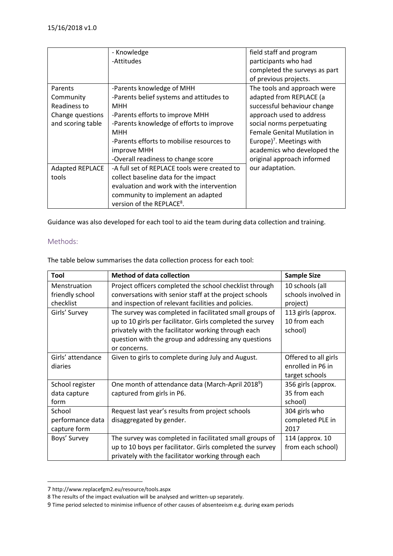|                        | - Knowledge                                  | field staff and program              |
|------------------------|----------------------------------------------|--------------------------------------|
|                        | -Attitudes                                   | participants who had                 |
|                        |                                              | completed the surveys as part        |
|                        |                                              | of previous projects.                |
| Parents                | -Parents knowledge of MHH                    | The tools and approach were          |
| Community              | -Parents belief systems and attitudes to     | adapted from REPLACE (a              |
| Readiness to           | MHH                                          | successful behaviour change          |
| Change questions       | -Parents efforts to improve MHH              | approach used to address             |
| and scoring table      | -Parents knowledge of efforts to improve     | social norms perpetuating            |
|                        | <b>MHH</b>                                   | <b>Female Genital Mutilation in</b>  |
|                        | -Parents efforts to mobilise resources to    | Europe) <sup>7</sup> . Meetings with |
|                        | improve MHH                                  | academics who developed the          |
|                        | -Overall readiness to change score           | original approach informed           |
| <b>Adapted REPLACE</b> | -A full set of REPLACE tools were created to | our adaptation.                      |
| tools                  | collect baseline data for the impact         |                                      |
|                        | evaluation and work with the intervention    |                                      |
|                        | community to implement an adapted            |                                      |
|                        | version of the REPLACE <sup>8</sup> .        |                                      |

Guidance was also developed for each tool to aid the team during data collection and training.

# <span id="page-4-0"></span>Methods:

The table below summarises the data collection process for each tool:

| Tool              | <b>Method of data collection</b>                              | <b>Sample Size</b>   |
|-------------------|---------------------------------------------------------------|----------------------|
| Menstruation      | Project officers completed the school checklist through       | 10 schools (all      |
| friendly school   | conversations with senior staff at the project schools        | schools involved in  |
| checklist         | and inspection of relevant facilities and policies.           | project)             |
| Girls' Survey     | The survey was completed in facilitated small groups of       | 113 girls (approx.   |
|                   | up to 10 girls per facilitator. Girls completed the survey    | 10 from each         |
|                   | privately with the facilitator working through each           | school)              |
|                   | question with the group and addressing any questions          |                      |
|                   | or concerns.                                                  |                      |
| Girls' attendance | Given to girls to complete during July and August.            | Offered to all girls |
| diaries           |                                                               | enrolled in P6 in    |
|                   |                                                               | target schools       |
| School register   | One month of attendance data (March-April 2018 <sup>9</sup> ) | 356 girls (approx.   |
| data capture      | captured from girls in P6.                                    | 35 from each         |
| form              |                                                               | school)              |
| School            | Request last year's results from project schools              | 304 girls who        |
| performance data  | disaggregated by gender.                                      | completed PLE in     |
| capture form      |                                                               | 2017                 |
| Boys' Survey      | The survey was completed in facilitated small groups of       | 114 (approx. 10      |
|                   | up to 10 boys per facilitator. Girls completed the survey     | from each school)    |
|                   | privately with the facilitator working through each           |                      |

<sup>7</sup> http://www.replacefgm2.eu/resource/tools.aspx

1

<sup>8</sup> The results of the impact evaluation will be analysed and written-up separately.

<sup>9</sup> Time period selected to minimise influence of other causes of absenteeism e.g. during exam periods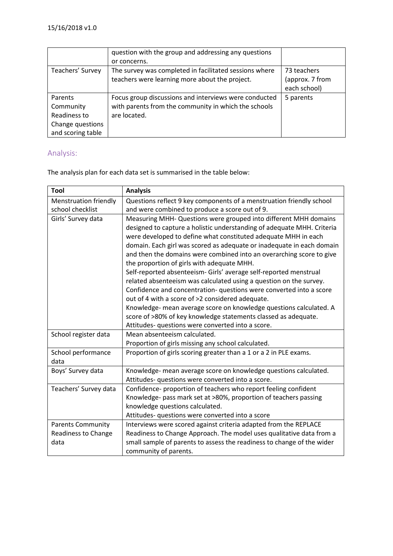|                   | question with the group and addressing any questions   |                 |
|-------------------|--------------------------------------------------------|-----------------|
|                   | or concerns.                                           |                 |
| Teachers' Survey  | The survey was completed in facilitated sessions where | 73 teachers     |
|                   | teachers were learning more about the project.         | (approx. 7 from |
|                   |                                                        | each school)    |
| Parents           | Focus group discussions and interviews were conducted  | 5 parents       |
| Community         | with parents from the community in which the schools   |                 |
| Readiness to      | are located.                                           |                 |
| Change questions  |                                                        |                 |
| and scoring table |                                                        |                 |

# <span id="page-5-0"></span>Analysis:

The analysis plan for each data set is summarised in the table below:

| Tool                                                           | <b>Analysis</b>                                                                                                                                                                                                                                                                                                                                                                                                                                                                                                                                                                                                                                                                                                                                                                                                           |
|----------------------------------------------------------------|---------------------------------------------------------------------------------------------------------------------------------------------------------------------------------------------------------------------------------------------------------------------------------------------------------------------------------------------------------------------------------------------------------------------------------------------------------------------------------------------------------------------------------------------------------------------------------------------------------------------------------------------------------------------------------------------------------------------------------------------------------------------------------------------------------------------------|
| <b>Menstruation friendly</b>                                   | Questions reflect 9 key components of a menstruation friendly school                                                                                                                                                                                                                                                                                                                                                                                                                                                                                                                                                                                                                                                                                                                                                      |
| school checklist                                               | and were combined to produce a score out of 9.                                                                                                                                                                                                                                                                                                                                                                                                                                                                                                                                                                                                                                                                                                                                                                            |
| Girls' Survey data                                             | Measuring MHH- Questions were grouped into different MHH domains<br>designed to capture a holistic understanding of adequate MHH. Criteria<br>were developed to define what constituted adequate MHH in each<br>domain. Each girl was scored as adequate or inadequate in each domain<br>and then the domains were combined into an overarching score to give<br>the proportion of girls with adequate MHH.<br>Self-reported absenteeism- Girls' average self-reported menstrual<br>related absenteeism was calculated using a question on the survey.<br>Confidence and concentration- questions were converted into a score<br>out of 4 with a score of >2 considered adequate.<br>Knowledge- mean average score on knowledge questions calculated. A<br>score of >80% of key knowledge statements classed as adequate. |
|                                                                | Attitudes- questions were converted into a score.                                                                                                                                                                                                                                                                                                                                                                                                                                                                                                                                                                                                                                                                                                                                                                         |
| School register data                                           | Mean absenteeism calculated.<br>Proportion of girls missing any school calculated.                                                                                                                                                                                                                                                                                                                                                                                                                                                                                                                                                                                                                                                                                                                                        |
| School performance<br>data                                     | Proportion of girls scoring greater than a 1 or a 2 in PLE exams.                                                                                                                                                                                                                                                                                                                                                                                                                                                                                                                                                                                                                                                                                                                                                         |
| Boys' Survey data                                              | Knowledge- mean average score on knowledge questions calculated.<br>Attitudes- questions were converted into a score.                                                                                                                                                                                                                                                                                                                                                                                                                                                                                                                                                                                                                                                                                                     |
| Teachers' Survey data                                          | Confidence- proportion of teachers who report feeling confident<br>Knowledge- pass mark set at >80%, proportion of teachers passing<br>knowledge questions calculated.<br>Attitudes- questions were converted into a score                                                                                                                                                                                                                                                                                                                                                                                                                                                                                                                                                                                                |
| <b>Parents Community</b><br><b>Readiness to Change</b><br>data | Interviews were scored against criteria adapted from the REPLACE<br>Readiness to Change Approach. The model uses qualitative data from a<br>small sample of parents to assess the readiness to change of the wider<br>community of parents.                                                                                                                                                                                                                                                                                                                                                                                                                                                                                                                                                                               |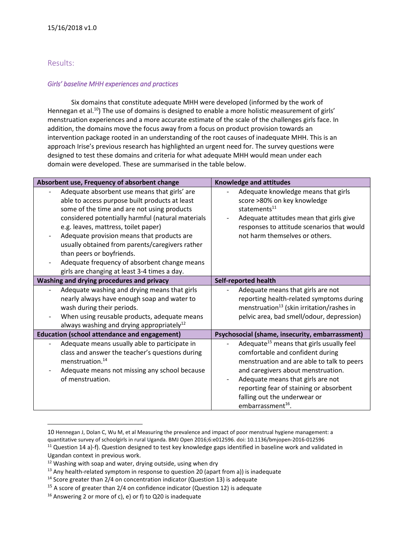# <span id="page-6-0"></span>Results:

1

#### *Girls' baseline MHH experiences and practices*

Six domains that constitute adequate MHH were developed (informed by the work of Hennegan et al.<sup>10</sup>) The use of domains is designed to enable a more holistic measurement of girls' menstruation experiences and a more accurate estimate of the scale of the challenges girls face. In addition, the domains move the focus away from a focus on product provision towards an intervention package rooted in an understanding of the root causes of inadequate MHH. This is an approach Irise's previous research has highlighted an urgent need for. The survey questions were designed to test these domains and criteria for what adequate MHH would mean under each domain were developed. These are summarised in the table below.

| Absorbent use, Frequency of absorbent change          | <b>Knowledge and attitudes</b>                        |                                            |
|-------------------------------------------------------|-------------------------------------------------------|--------------------------------------------|
| Adequate absorbent use means that girls' are          | Adequate knowledge means that girls                   |                                            |
| able to access purpose built products at least        | score >80% on key knowledge                           |                                            |
| some of the time and are not using products           | statements <sup>11</sup>                              |                                            |
| considered potentially harmful (natural materials     | Adequate attitudes mean that girls give               |                                            |
| e.g. leaves, mattress, toilet paper)                  |                                                       | responses to attitude scenarios that would |
| Adequate provision means that products are            | not harm themselves or others.                        |                                            |
| usually obtained from parents/caregivers rather       |                                                       |                                            |
| than peers or boyfriends.                             |                                                       |                                            |
| Adequate frequency of absorbent change means          |                                                       |                                            |
| girls are changing at least 3-4 times a day.          |                                                       |                                            |
| Washing and drying procedures and privacy             | <b>Self-reported health</b>                           |                                            |
| Adequate washing and drying means that girls          | Adequate means that girls are not                     |                                            |
| nearly always have enough soap and water to           |                                                       | reporting health-related symptoms during   |
| wash during their periods.                            | menstruation <sup>13</sup> (skin irritation/rashes in |                                            |
| When using reusable products, adequate means          |                                                       | pelvic area, bad smell/odour, depression)  |
| always washing and drying appropriately <sup>12</sup> |                                                       |                                            |
| <b>Education (school attendance and engagement)</b>   | Psychosocial (shame, insecurity, embarrassment)       |                                            |
| Adequate means usually able to participate in         | Adequate <sup>15</sup> means that girls usually feel  |                                            |
| class and answer the teacher's questions during       | comfortable and confident during                      |                                            |
| menstruation. <sup>14</sup>                           |                                                       | menstruation and are able to talk to peers |
| Adequate means not missing any school because         | and caregivers about menstruation.                    |                                            |
| of menstruation.                                      | Adequate means that girls are not                     |                                            |
|                                                       | reporting fear of staining or absorbent               |                                            |
|                                                       | falling out the underwear or                          |                                            |
|                                                       | embarrassment <sup>16</sup> .                         |                                            |

<sup>10</sup> Hennegan J, Dolan C, Wu M, et al Measuring the prevalence and impact of poor menstrual hygiene management: a quantitative survey of schoolgirls in rural Uganda. BMJ Open 2016;6:e012596. doi: 10.1136/bmjopen-2016-012596

<sup>&</sup>lt;sup>11</sup> Question 14 a)-f). Question designed to test key knowledge gaps identified in baseline work and validated in Ugandan context in previous work.

<sup>&</sup>lt;sup>12</sup> Washing with soap and water, drying outside, using when dry

 $13$  Any health-related symptom in response to question 20 (apart from a)) is inadequate

<sup>&</sup>lt;sup>14</sup> Score greater than 2/4 on concentration indicator (Question 13) is adequate

 $15$  A score of greater than 2/4 on confidence indicator (Question 12) is adequate

<sup>&</sup>lt;sup>16</sup> Answering 2 or more of c), e) or f) to Q20 is inadequate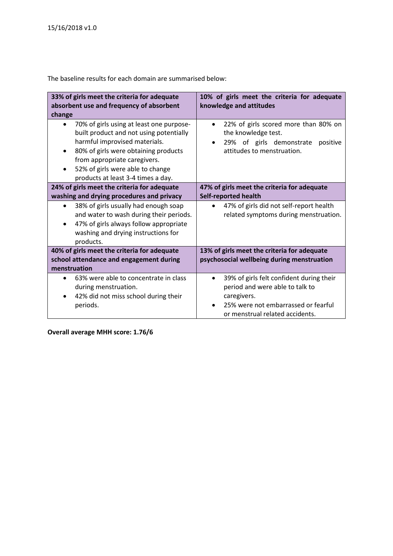**33% of girls meet the criteria for adequate absorbent use and frequency of absorbent change 10% of girls meet the criteria for adequate knowledge and attitudes** • 70% of girls using at least one purposebuilt product and not using potentially harmful improvised materials. • 80% of girls were obtaining products from appropriate caregivers. 52% of girls were able to change products at least 3-4 times a day. • 22% of girls scored more than 80% on the knowledge test. • 29% of girls demonstrate positive attitudes to menstruation. **24% of girls meet the criteria for adequate washing and drying procedures and privacy 47% of girls meet the criteria for adequate Self-reported health** • 38% of girls usually had enough soap and water to wash during their periods. • 47% of girls always follow appropriate washing and drying instructions for products. • 47% of girls did not self-report health related symptoms during menstruation. **40% of girls meet the criteria for adequate school attendance and engagement during menstruation 13% of girls meet the criteria for adequate psychosocial wellbeing during menstruation** • 63% were able to concentrate in class during menstruation. • 42% did not miss school during their periods. • 39% of girls felt confident during their period and were able to talk to caregivers. • 25% were not embarrassed or fearful or menstrual related accidents.

The baseline results for each domain are summarised below:

**Overall average MHH score: 1.76/6**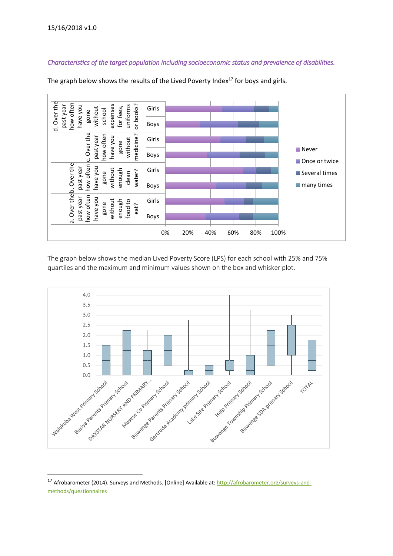$\overline{a}$ 

# *Characteristics of the target population including socioeconomic status and prevalence of disabilities.*



The graph below shows the results of the Lived Poverty Index $17$  for boys and girls.

The graph below shows the median Lived Poverty Score (LPS) for each school with 25% and 75% quartiles and the maximum and minimum values shown on the box and whisker plot.



<sup>&</sup>lt;sup>17</sup> Afrobarometer (2014). Surveys and Methods. [Online] Available at[: http://afrobarometer.org/surveys-and](http://afrobarometer.org/surveys-and-methods/questionnaires)[methods/questionnaires](http://afrobarometer.org/surveys-and-methods/questionnaires)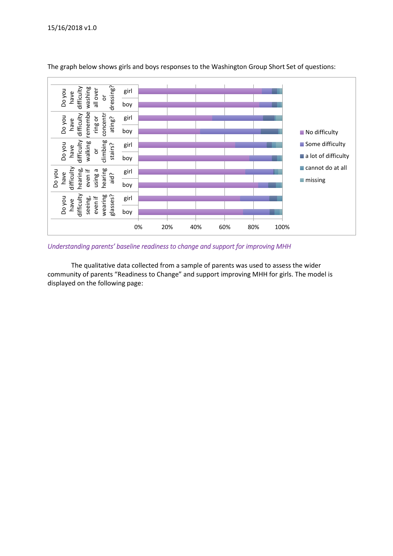

The graph below shows girls and boys responses to the Washington Group Short Set of questions:

*Understanding parents' baseline readiness to change and support for improving MHH* 

The qualitative data collected from a sample of parents was used to assess the wider community of parents "Readiness to Change" and support improving MHH for girls. The model is displayed on the following page: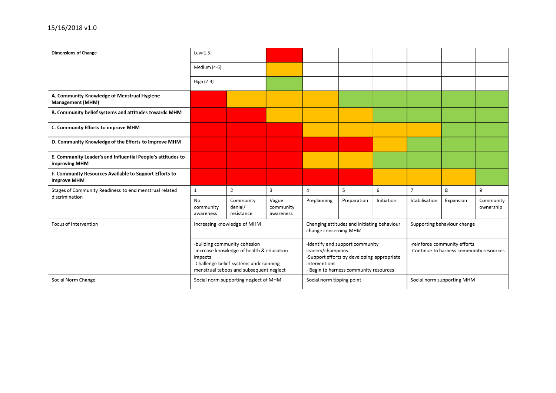| <b>Dimensions of Change</b>                                                         | $Low(1-5)$                                                                                                                                                                |                                       |                                 |                                                                                                                                                               |             |            |                                                                          |                            |                        |
|-------------------------------------------------------------------------------------|---------------------------------------------------------------------------------------------------------------------------------------------------------------------------|---------------------------------------|---------------------------------|---------------------------------------------------------------------------------------------------------------------------------------------------------------|-------------|------------|--------------------------------------------------------------------------|----------------------------|------------------------|
|                                                                                     | Medium (4-6)                                                                                                                                                              |                                       |                                 |                                                                                                                                                               |             |            |                                                                          |                            |                        |
|                                                                                     | High (7-9)                                                                                                                                                                |                                       |                                 |                                                                                                                                                               |             |            |                                                                          |                            |                        |
| A. Community Knowledge of Menstrual Hygiene<br><b>Management (MHM)</b>              |                                                                                                                                                                           |                                       |                                 |                                                                                                                                                               |             |            |                                                                          |                            |                        |
| B. Community belief systems and attitudes towards MHM                               |                                                                                                                                                                           |                                       |                                 |                                                                                                                                                               |             |            |                                                                          |                            |                        |
| C. Community Efforts to improve MHM                                                 |                                                                                                                                                                           |                                       |                                 |                                                                                                                                                               |             |            |                                                                          |                            |                        |
| D. Community Knowledge of the Efforts to improve MHM                                |                                                                                                                                                                           |                                       |                                 |                                                                                                                                                               |             |            |                                                                          |                            |                        |
| E. Community Leader's and Influential People's attitudes to<br><b>improving MHM</b> |                                                                                                                                                                           |                                       |                                 |                                                                                                                                                               |             |            |                                                                          |                            |                        |
| F. Community Resources Available to Support Efforts to<br>improve MHM               |                                                                                                                                                                           |                                       |                                 |                                                                                                                                                               |             |            |                                                                          |                            |                        |
| Stages of Community Readiness to end menstrual related                              | $\mathbf{1}$                                                                                                                                                              | $\overline{2}$                        | 3                               | 4                                                                                                                                                             | 5           | 6          | $\overline{7}$                                                           | 8                          | 9                      |
| discrimination                                                                      | No<br>community<br>awareness                                                                                                                                              | Community<br>denial/<br>resistance    | Vague<br>community<br>awareness | Preplanning                                                                                                                                                   | Preparation | Initiation | Stabilisation                                                            | Expansion                  | Community<br>ownership |
| Focus of Intervention                                                               | Increasing knowledge of MHM                                                                                                                                               |                                       |                                 | Changing attitudes and initiating behaviour<br>change concerning MHM                                                                                          |             |            | Supporting behaviour change                                              |                            |                        |
|                                                                                     | -building community cohesion<br>-increase knowledge of health & education<br>impacts<br>-Challenge belief systems underpinning<br>menstrual taboos and subsequent neglect |                                       |                                 | -identify and support community<br>leaders/champions<br>-Support efforts by developing appropriate<br>interventions<br>- Begin to harness community resources |             |            | -reinforce community efforts<br>-Continue to harness community resources |                            |                        |
| Social Norm Change                                                                  |                                                                                                                                                                           | Social norm supporting neglect of MHM |                                 | Social norm tipping point                                                                                                                                     |             |            |                                                                          | Social norm supporting MHM |                        |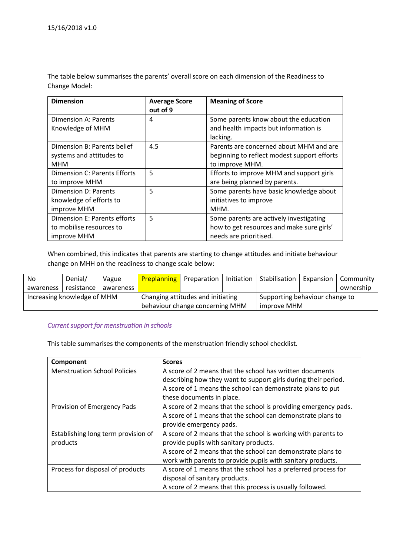The table below summarises the parents' overall score on each dimension of the Readiness to Change Model:

| <b>Dimension</b>                    | <b>Average Score</b> | <b>Meaning of Score</b>                     |
|-------------------------------------|----------------------|---------------------------------------------|
|                                     | out of 9             |                                             |
| Dimension A: Parents                | 4                    | Some parents know about the education       |
| Knowledge of MHM                    |                      | and health impacts but information is       |
|                                     |                      | lacking.                                    |
| Dimension B: Parents belief         | 4.5                  | Parents are concerned about MHM and are     |
| systems and attitudes to            |                      | beginning to reflect modest support efforts |
| MHM                                 |                      | to improve MHM.                             |
| <b>Dimension C: Parents Efforts</b> | 5                    | Efforts to improve MHM and support girls    |
| to improve MHM                      |                      | are being planned by parents.               |
| Dimension D: Parents                | 5                    | Some parents have basic knowledge about     |
| knowledge of efforts to             |                      | initiatives to improve                      |
| improve MHM                         |                      | MHM.                                        |
| Dimension E: Parents efforts        | 5                    | Some parents are actively investigating     |
| to mobilise resources to            |                      | how to get resources and make sure girls'   |
| improve MHM                         |                      | needs are prioritised.                      |

When combined, this indicates that parents are starting to change attitudes and initiate behaviour change on MHH on the readiness to change scale below:

| No                          | Denial/    | Vague                             | <b>Preplanning</b> Preparation  |  | Initiation I                   | Stabilisation | Expansion | Community |
|-----------------------------|------------|-----------------------------------|---------------------------------|--|--------------------------------|---------------|-----------|-----------|
| awareness                   | resistance | awareness                         |                                 |  |                                |               |           | ownership |
| Increasing knowledge of MHM |            | Changing attitudes and initiating |                                 |  | Supporting behaviour change to |               |           |           |
|                             |            |                                   | behaviour change concerning MHM |  | improve MHM                    |               |           |           |

#### *Current support for menstruation in schools*

This table summarises the components of the menstruation friendly school checklist.

| Component                           | <b>Scores</b>                                                   |
|-------------------------------------|-----------------------------------------------------------------|
| <b>Menstruation School Policies</b> | A score of 2 means that the school has written documents        |
|                                     | describing how they want to support girls during their period.  |
|                                     | A score of 1 means the school can demonstrate plans to put      |
|                                     | these documents in place.                                       |
| Provision of Emergency Pads         | A score of 2 means that the school is providing emergency pads. |
|                                     | A score of 1 means that the school can demonstrate plans to     |
|                                     | provide emergency pads.                                         |
| Establishing long term provision of | A score of 2 means that the school is working with parents to   |
| products                            | provide pupils with sanitary products.                          |
|                                     | A score of 2 means that the school can demonstrate plans to     |
|                                     | work with parents to provide pupils with sanitary products.     |
| Process for disposal of products    | A score of 1 means that the school has a preferred process for  |
|                                     | disposal of sanitary products.                                  |
|                                     | A score of 2 means that this process is usually followed.       |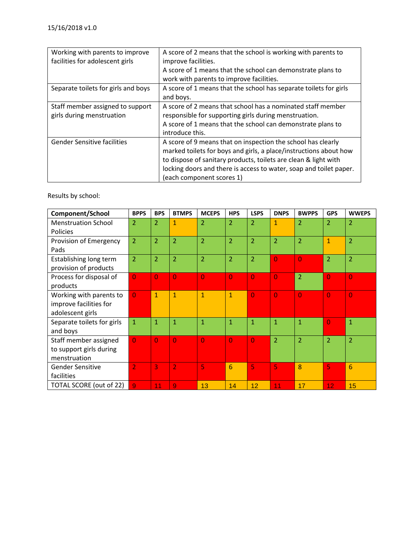| Working with parents to improve<br>facilities for adolescent girls | A score of 2 means that the school is working with parents to<br>improve facilities.<br>A score of 1 means that the school can demonstrate plans to<br>work with parents to improve facilities.                                                                                                         |
|--------------------------------------------------------------------|---------------------------------------------------------------------------------------------------------------------------------------------------------------------------------------------------------------------------------------------------------------------------------------------------------|
| Separate toilets for girls and boys                                | A score of 1 means that the school has separate toilets for girls<br>and boys.                                                                                                                                                                                                                          |
| Staff member assigned to support<br>girls during menstruation      | A score of 2 means that school has a nominated staff member<br>responsible for supporting girls during menstruation.<br>A score of 1 means that the school can demonstrate plans to<br>introduce this.                                                                                                  |
| <b>Gender Sensitive facilities</b>                                 | A score of 9 means that on inspection the school has clearly<br>marked toilets for boys and girls, a place/instructions about how<br>to dispose of sanitary products, toilets are clean & light with<br>locking doors and there is access to water, soap and toilet paper.<br>(each component scores 1) |

Results by school:

| Component/School           | <b>BPPS</b>    | <b>BPS</b>     | <b>BTMPS</b>   | <b>MCEPS</b>   | <b>HPS</b>      | <b>LSPS</b>    | <b>DNPS</b>    | <b>BWPPS</b>   | <b>GPS</b>     | <b>WWEPS</b>   |
|----------------------------|----------------|----------------|----------------|----------------|-----------------|----------------|----------------|----------------|----------------|----------------|
| <b>Menstruation School</b> | 2              | $\overline{2}$ | 1              | $\overline{2}$ | $\overline{2}$  | $\overline{2}$ | $\mathbf{1}$   | $\overline{2}$ | $\overline{2}$ | $\overline{2}$ |
| <b>Policies</b>            |                |                |                |                |                 |                |                |                |                |                |
| Provision of Emergency     | $\overline{2}$ | $\overline{2}$ | $\overline{2}$ | $\overline{2}$ | $\overline{2}$  | $\overline{2}$ | $\overline{2}$ | $\overline{2}$ | $\mathbf{1}$   | $\overline{2}$ |
| Pads                       |                |                |                |                |                 |                |                |                |                |                |
| Establishing long term     | $\overline{2}$ | $\overline{2}$ | $\overline{2}$ | $\overline{2}$ | $\overline{2}$  | $\overline{2}$ | $\overline{0}$ | $\overline{0}$ | $\overline{2}$ | $\overline{2}$ |
| provision of products      |                |                |                |                |                 |                |                |                |                |                |
| Process for disposal of    | $\overline{0}$ | $\overline{0}$ | $\overline{0}$ | $\overline{0}$ | $\overline{0}$  | $\overline{0}$ | $\overline{0}$ | $\overline{2}$ | $\overline{0}$ | $\overline{0}$ |
| products                   |                |                |                |                |                 |                |                |                |                |                |
| Working with parents to    | $\overline{0}$ | $\mathbf{1}$   | 1              | $\overline{1}$ | $\mathbf{1}$    | $\overline{0}$ | $\overline{0}$ | $\overline{0}$ | $\overline{0}$ | $\overline{0}$ |
| improve facilities for     |                |                |                |                |                 |                |                |                |                |                |
| adolescent girls           |                |                |                |                |                 |                |                |                |                |                |
| Separate toilets for girls | $\mathbf{1}$   | $\mathbf{1}$   | $\mathbf{1}$   | $\overline{1}$ | $\mathbf{1}$    | $\mathbf{1}$   | $\mathbf{1}$   | $\mathbf{1}$   | $\overline{0}$ | $\mathbf{1}$   |
| and boys                   |                |                |                |                |                 |                |                |                |                |                |
| Staff member assigned      | $\overline{0}$ | $\overline{0}$ | $\overline{0}$ | $\overline{0}$ | $\overline{0}$  | $\overline{0}$ | $\overline{2}$ | $\overline{2}$ | $\overline{2}$ | $\overline{2}$ |
| to support girls during    |                |                |                |                |                 |                |                |                |                |                |
| menstruation               |                |                |                |                |                 |                |                |                |                |                |
| <b>Gender Sensitive</b>    | $\overline{2}$ | 3              | $\overline{2}$ | 5              | $6\phantom{1}6$ | 5              | 5              | 8              | 5              | 6              |
| facilities                 |                |                |                |                |                 |                |                |                |                |                |
| TOTAL SCORE (out of 22)    | $\overline{9}$ | 11             | $\overline{9}$ | 13             | 14              | 12             | 11             | 17             | 12             | 15             |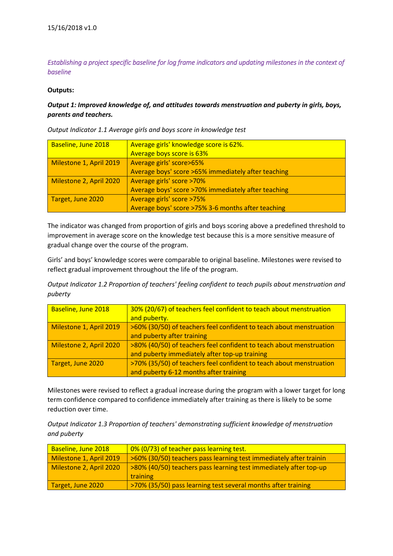*Establishing a project specific baseline for log frame indicators and updating milestones in the context of baseline* 

#### **Outputs:**

# *Output 1: Improved knowledge of, and attitudes towards menstruation and puberty in girls, boys, parents and teachers.*

*Output Indicator 1.1 Average girls and boys score in knowledge test*

| Baseline, June 2018     | Average girls' knowledge score is 62%.              |
|-------------------------|-----------------------------------------------------|
|                         | Average boys score is 63%                           |
| Milestone 1, April 2019 | Average girls' score>65%                            |
|                         | Average boys' score >65% immediately after teaching |
| Milestone 2, April 2020 | Average girls' score >70%                           |
|                         | Average boys' score >70% immediately after teaching |
| Target, June 2020       | Average girls' score >75%                           |
|                         | Average boys' score >75% 3-6 months after teaching  |

The indicator was changed from proportion of girls and boys scoring above a predefined threshold to improvement in average score on the knowledge test because this is a more sensitive measure of gradual change over the course of the program.

Girls' and boys' knowledge scores were comparable to original baseline. Milestones were revised to reflect gradual improvement throughout the life of the program.

*Output Indicator 1.2 Proportion of teachers' feeling confident to teach pupils about menstruation and puberty*

| Baseline, June 2018     | 30% (20/67) of teachers feel confident to teach about menstruation  |
|-------------------------|---------------------------------------------------------------------|
|                         | and puberty.                                                        |
| Milestone 1, April 2019 | >60% (30/50) of teachers feel confident to teach about menstruation |
|                         | and puberty after training                                          |
| Milestone 2, April 2020 | >80% (40/50) of teachers feel confident to teach about menstruation |
|                         | and puberty immediately after top-up training                       |
| Target, June 2020       | >70% (35/50) of teachers feel confident to teach about menstruation |
|                         | and puberty 6-12 months after training                              |

Milestones were revised to reflect a gradual increase during the program with a lower target for long term confidence compared to confidence immediately after training as there is likely to be some reduction over time.

*Output Indicator 1.3 Proportion of teachers' demonstrating sufficient knowledge of menstruation and puberty*

| Baseline, June 2018     | 0% (0/73) of teacher pass learning test.                           |
|-------------------------|--------------------------------------------------------------------|
| Milestone 1, April 2019 | >60% (30/50) teachers pass learning test immediately after trainin |
| Milestone 2, April 2020 | >80% (40/50) teachers pass learning test immediately after top-up  |
|                         | <b>training</b>                                                    |
| Target, June 2020       | >70% (35/50) pass learning test several months after training      |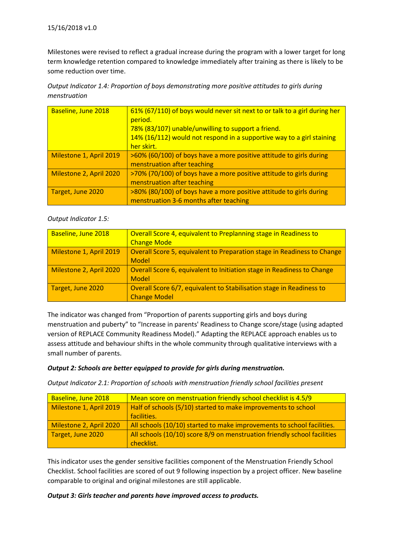Milestones were revised to reflect a gradual increase during the program with a lower target for long term knowledge retention compared to knowledge immediately after training as there is likely to be some reduction over time.

| Output Indicator 1.4: Proportion of boys demonstrating more positive attitudes to girls during |  |
|------------------------------------------------------------------------------------------------|--|
| menstruation                                                                                   |  |

| Baseline, June 2018     | 61% (67/110) of boys would never sit next to or talk to a girl during her<br>period.<br>78% (83/107) unable/unwilling to support a friend.<br>14% (16/112) would not respond in a supportive way to a girl staining<br>her skirt. |
|-------------------------|-----------------------------------------------------------------------------------------------------------------------------------------------------------------------------------------------------------------------------------|
| Milestone 1, April 2019 | >60% (60/100) of boys have a more positive attitude to girls during<br>menstruation after teaching                                                                                                                                |
| Milestone 2, April 2020 | >70% (70/100) of boys have a more positive attitude to girls during<br>menstruation after teaching                                                                                                                                |
| Target, June 2020       | >80% (80/100) of boys have a more positive attitude to girls during<br>menstruation 3-6 months after teaching                                                                                                                     |

### *Output Indicator 1.5:*

| Baseline, June 2018     | Overall Score 4, equivalent to Preplanning stage in Readiness to        |
|-------------------------|-------------------------------------------------------------------------|
|                         | <b>Change Mode</b>                                                      |
| Milestone 1, April 2019 | Overall Score 5, equivalent to Preparation stage in Readiness to Change |
|                         | Model                                                                   |
| Milestone 2, April 2020 | Overall Score 6, equivalent to Initiation stage in Readiness to Change  |
|                         | Model                                                                   |
| Target, June 2020       | Overall Score 6/7, equivalent to Stabilisation stage in Readiness to    |
|                         | <b>Change Model</b>                                                     |

The indicator was changed from "Proportion of parents supporting girls and boys during menstruation and puberty" to "Increase in parents' Readiness to Change score/stage (using adapted version of REPLACE Community Readiness Model)." Adapting the REPLACE approach enables us to assess attitude and behaviour shifts in the whole community through qualitative interviews with a small number of parents.

### *Output 2: Schools are better equipped to provide for girls during menstruation.*

*Output Indicator 2.1: Proportion of schools with menstruation friendly school facilities present*

| Baseline, June 2018     | Mean score on menstruation friendly school checklist is 4.5/9            |  |
|-------------------------|--------------------------------------------------------------------------|--|
| Milestone 1, April 2019 | Half of schools (5/10) started to make improvements to school            |  |
|                         | facilities.                                                              |  |
| Milestone 2, April 2020 | All schools (10/10) started to make improvements to school facilities.   |  |
| Target, June 2020       | All schools (10/10) score 8/9 on menstruation friendly school facilities |  |
|                         | checklist.                                                               |  |

This indicator uses the gender sensitive facilities component of the Menstruation Friendly School Checklist. School facilities are scored of out 9 following inspection by a project officer. New baseline comparable to original and original milestones are still applicable.

### *Output 3: Girls teacher and parents have improved access to products.*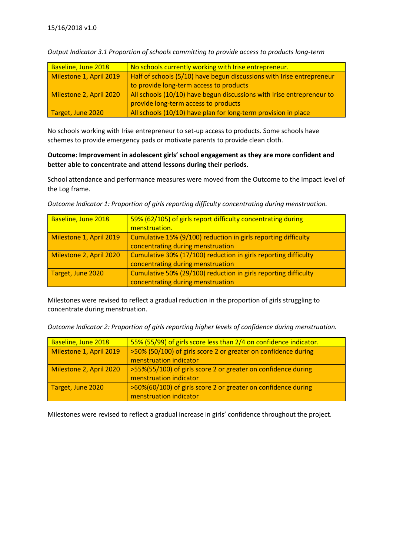| Baseline, June 2018     | No schools currently working with Irise entrepreneur.                 |
|-------------------------|-----------------------------------------------------------------------|
| Milestone 1, April 2019 | Half of schools (5/10) have begun discussions with Irise entrepreneur |
|                         | to provide long-term access to products                               |
| Milestone 2, April 2020 | All schools (10/10) have begun discussions with Irise entrepreneur to |
|                         | provide long-term access to products                                  |
| Target, June 2020       | All schools (10/10) have plan for long-term provision in place        |

*Output Indicator 3.1 Proportion of schools committing to provide access to products long-term*

No schools working with Irise entrepreneur to set-up access to products. Some schools have schemes to provide emergency pads or motivate parents to provide clean cloth.

#### **Outcome: Improvement in adolescent girls' school engagement as they are more confident and better able to concentrate and attend lessons during their periods.**

School attendance and performance measures were moved from the Outcome to the Impact level of the Log frame.

*Outcome Indicator 1: Proportion of girls reporting difficulty concentrating during menstruation.*

| Baseline, June 2018     | 59% (62/105) of girls report difficulty concentrating during    |
|-------------------------|-----------------------------------------------------------------|
|                         | menstruation.                                                   |
| Milestone 1, April 2019 | Cumulative 15% (9/100) reduction in girls reporting difficulty  |
|                         | concentrating during menstruation                               |
| Milestone 2, April 2020 | Cumulative 30% (17/100) reduction in girls reporting difficulty |
|                         | concentrating during menstruation                               |
| Target, June 2020       | Cumulative 50% (29/100) reduction in girls reporting difficulty |
|                         | concentrating during menstruation                               |

Milestones were revised to reflect a gradual reduction in the proportion of girls struggling to concentrate during menstruation.

*Outcome Indicator 2: Proportion of girls reporting higher levels of confidence during menstruation.*

| Baseline, June 2018     | 55% (55/99) of girls score less than 2/4 on confidence indicator. |
|-------------------------|-------------------------------------------------------------------|
| Milestone 1, April 2019 | >50% (50/100) of girls score 2 or greater on confidence during    |
|                         | menstruation indicator                                            |
| Milestone 2, April 2020 | >55%(55/100) of girls score 2 or greater on confidence during     |
|                         | menstruation indicator                                            |
| Target, June 2020       | >60%(60/100) of girls score 2 or greater on confidence during     |
|                         | menstruation indicator                                            |

Milestones were revised to reflect a gradual increase in girls' confidence throughout the project.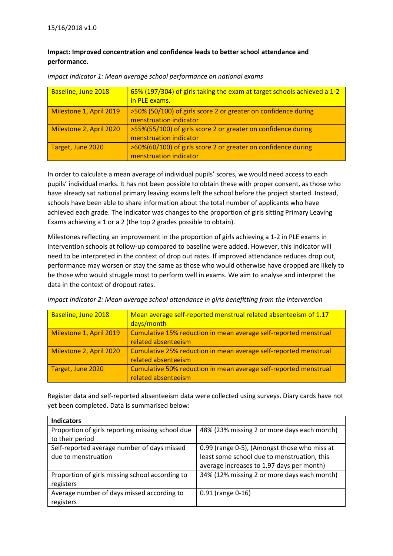# **Impact: Improved concentration and confidence leads to better school attendance and performance.**

| Baseline, June 2018     | 65% (197/304) of girls taking the exam at target schools achieved a 1-2 |
|-------------------------|-------------------------------------------------------------------------|
|                         | in PLE exams.                                                           |
| Milestone 1, April 2019 | >50% (50/100) of girls score 2 or greater on confidence during          |
|                         | menstruation indicator                                                  |
| Milestone 2, April 2020 | >55%(55/100) of girls score 2 or greater on confidence during           |
|                         | menstruation indicator                                                  |
| Target, June 2020       | >60%(60/100) of girls score 2 or greater on confidence during           |
|                         | menstruation indicator                                                  |

*Impact Indicator 1: Mean average school performance on national exams*

In order to calculate a mean average of individual pupils' scores, we would need access to each pupils' individual marks. It has not been possible to obtain these with proper consent, as those who have already sat national primary leaving exams left the school before the project started. Instead, schools have been able to share information about the total number of applicants who have achieved each grade. The indicator was changes to the proportion of girls sitting Primary Leaving Exams achieving a 1 or a 2 (the top 2 grades possible to obtain).

Milestones reflecting an improvement in the proportion of girls achieving a 1-2 in PLE exams in intervention schools at follow-up compared to baseline were added. However, this indicator will need to be interpreted in the context of drop out rates. If improved attendance reduces drop out, performance may worsen or stay the same as those who would otherwise have dropped are likely to be those who would struggle most to perform well in exams. We aim to analyse and interpret the data in the context of dropout rates.

| Baseline, June 2018     | Mean average self-reported menstrual related absenteeism of 1.17<br>days/month          |
|-------------------------|-----------------------------------------------------------------------------------------|
| Milestone 1, April 2019 | Cumulative 15% reduction in mean average self-reported menstrual<br>related absenteeism |
| Milestone 2, April 2020 | Cumulative 25% reduction in mean average self-reported menstrual<br>related absenteeism |
| Target, June 2020       | Cumulative 50% reduction in mean average self-reported menstrual<br>related absenteeism |

*Impact Indicator 2: Mean average school attendance in girls benefitting from the intervention*

Register data and self-reported absenteeism data were collected using surveys. Diary cards have not yet been completed. Data is summarised below:

| <b>Indicators</b>                                |                                              |  |
|--------------------------------------------------|----------------------------------------------|--|
| Proportion of girls reporting missing school due | 48% (23% missing 2 or more days each month)  |  |
| to their period                                  |                                              |  |
| Self-reported average number of days missed      | 0.99 (range 0-5), (Amongst those who miss at |  |
| due to menstruation                              | least some school due to menstruation, this  |  |
|                                                  | average increases to 1.97 days per month)    |  |
| Proportion of girls missing school according to  | 34% (12% missing 2 or more days each month)  |  |
| registers                                        |                                              |  |
| Average number of days missed according to       | 0.91 (range 0-16)                            |  |
| registers                                        |                                              |  |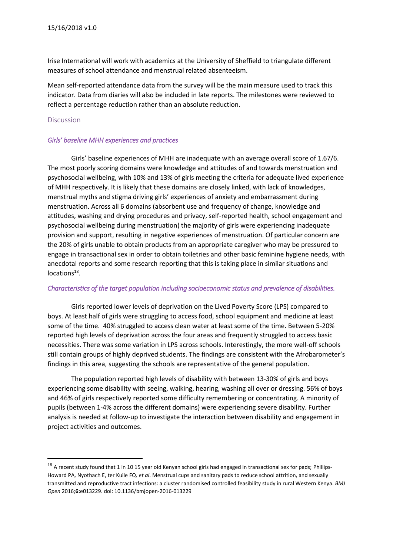Irise International will work with academics at the University of Sheffield to triangulate different measures of school attendance and menstrual related absenteeism.

Mean self-reported attendance data from the survey will be the main measure used to track this indicator. Data from diaries will also be included in late reports. The milestones were reviewed to reflect a percentage reduction rather than an absolute reduction.

#### <span id="page-17-0"></span>Discussion

**.** 

#### *Girls' baseline MHH experiences and practices*

Girls' baseline experiences of MHH are inadequate with an average overall score of 1.67/6. The most poorly scoring domains were knowledge and attitudes of and towards menstruation and psychosocial wellbeing, with 10% and 13% of girls meeting the criteria for adequate lived experience of MHH respectively. It is likely that these domains are closely linked, with lack of knowledges, menstrual myths and stigma driving girls' experiences of anxiety and embarrassment during menstruation. Across all 6 domains (absorbent use and frequency of change, knowledge and attitudes, washing and drying procedures and privacy, self-reported health, school engagement and psychosocial wellbeing during menstruation) the majority of girls were experiencing inadequate provision and support, resulting in negative experiences of menstruation. Of particular concern are the 20% of girls unable to obtain products from an appropriate caregiver who may be pressured to engage in transactional sex in order to obtain toiletries and other basic feminine hygiene needs, with anecdotal reports and some research reporting that this is taking place in similar situations and locations<sup>18</sup>.

#### *Characteristics of the target population including socioeconomic status and prevalence of disabilities.*

Girls reported lower levels of deprivation on the Lived Poverty Score (LPS) compared to boys. At least half of girls were struggling to access food, school equipment and medicine at least some of the time. 40% struggled to access clean water at least some of the time. Between 5-20% reported high levels of deprivation across the four areas and frequently struggled to access basic necessities. There was some variation in LPS across schools. Interestingly, the more well-off schools still contain groups of highly deprived students. The findings are consistent with the Afrobarometer's findings in this area, suggesting the schools are representative of the general population.

The population reported high levels of disability with between 13-30% of girls and boys experiencing some disability with seeing, walking, hearing, washing all over or dressing. 56% of boys and 46% of girls respectively reported some difficulty remembering or concentrating. A minority of pupils (between 1-4% across the different domains) were experiencing severe disability. Further analysis is needed at follow-up to investigate the interaction between disability and engagement in project activities and outcomes.

 $18$  A recent study found that 1 in 10 15 year old Kenyan school girls had engaged in transactional sex for pads; Phillips-Howard PA, Nyothach E, ter Kuile FO*, et al*. Menstrual cups and sanitary pads to reduce school attrition, and sexually transmitted and reproductive tract infections: a cluster randomised controlled feasibility study in rural Western Kenya. *BMJ Open* 2016;**6:**e013229. doi: 10.1136/bmjopen-2016-013229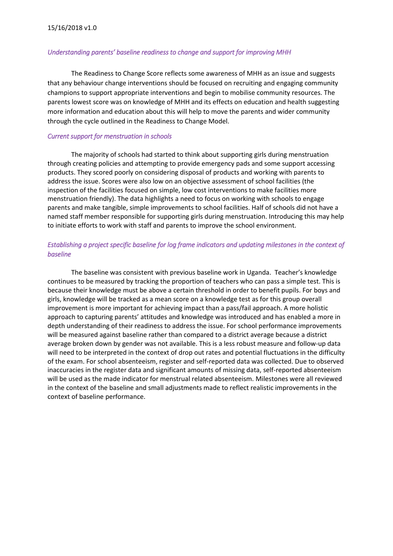#### *Understanding parents' baseline readiness to change and support for improving MHH*

The Readiness to Change Score reflects some awareness of MHH as an issue and suggests that any behaviour change interventions should be focused on recruiting and engaging community champions to support appropriate interventions and begin to mobilise community resources. The parents lowest score was on knowledge of MHH and its effects on education and health suggesting more information and education about this will help to move the parents and wider community through the cycle outlined in the Readiness to Change Model.

#### *Current support for menstruation in schools*

The majority of schools had started to think about supporting girls during menstruation through creating policies and attempting to provide emergency pads and some support accessing products. They scored poorly on considering disposal of products and working with parents to address the issue. Scores were also low on an objective assessment of school facilities (the inspection of the facilities focused on simple, low cost interventions to make facilities more menstruation friendly). The data highlights a need to focus on working with schools to engage parents and make tangible, simple improvements to school facilities. Half of schools did not have a named staff member responsible for supporting girls during menstruation. Introducing this may help to initiate efforts to work with staff and parents to improve the school environment.

# *Establishing a project specific baseline for log frame indicators and updating milestones in the context of baseline*

<span id="page-18-0"></span>The baseline was consistent with previous baseline work in Uganda. Teacher's knowledge continues to be measured by tracking the proportion of teachers who can pass a simple test. This is because their knowledge must be above a certain threshold in order to benefit pupils. For boys and girls, knowledge will be tracked as a mean score on a knowledge test as for this group overall improvement is more important for achieving impact than a pass/fail approach. A more holistic approach to capturing parents' attitudes and knowledge was introduced and has enabled a more in depth understanding of their readiness to address the issue. For school performance improvements will be measured against baseline rather than compared to a district average because a district average broken down by gender was not available. This is a less robust measure and follow-up data will need to be interpreted in the context of drop out rates and potential fluctuations in the difficulty of the exam. For school absenteeism, register and self-reported data was collected. Due to observed inaccuracies in the register data and significant amounts of missing data, self-reported absenteeism will be used as the made indicator for menstrual related absenteeism. Milestones were all reviewed in the context of the baseline and small adjustments made to reflect realistic improvements in the context of baseline performance.